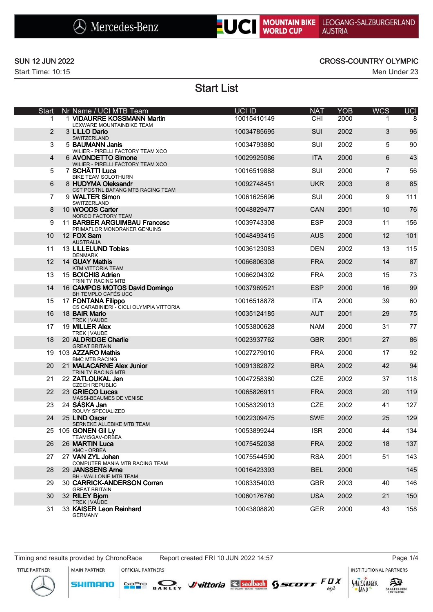



### SUN 12 JUN 2022 CROSS-COUNTRY OLYMPIC

# Start List

| Start          | Nr Name / UCI MTB Team<br>1 VIDAURRE KOSSMANN Martin<br>LEXWARE MOUNTAINBIKE TEAM | UCI ID<br>10015410149 | <b>NAT</b><br>CHI | <b>YOB</b><br>2000 | <b>WCS</b><br>1. | <b>UCI</b><br>8 |
|----------------|-----------------------------------------------------------------------------------|-----------------------|-------------------|--------------------|------------------|-----------------|
| $\overline{2}$ | 3 LILLO Dario<br>SWITZERLAND                                                      | 10034785695           | <b>SUI</b>        | 2002               | 3                | 96              |
| 3              | 5 BAUMANN Janis<br>WILIER - PIRELLI FACTORY TEAM XCO                              | 10034793880           | <b>SUI</b>        | 2002               | 5                | 90              |
| $\overline{4}$ | 6 AVONDETTO Simone<br>WILIER - PIRELLI FACTORY TEAM XCO                           | 10029925086           | <b>ITA</b>        | 2000               | 6                | 43              |
| 5              | 7 SCHÄTTI Luca<br>BIKE TEAM SOLOTHURN                                             | 10016519888           | <b>SUI</b>        | 2000               | $\overline{7}$   | 56              |
| 6              | 8 HUDYMA Oleksandr                                                                | 10092748451           | UKR.              | 2003               | 8                | 85              |
| 7              | CST POSTNL BAFANG MTB RACING TEAM<br>9 WALTER Simon                               | 10061625696           | SUI               | 2000               | 9                | 111             |
| 8              | SWITZERLAND<br>10 WOODS Carter<br>NORCO FACTORY TEAM                              | 10048829477           | <b>CAN</b>        | 2001               | 10               | 76              |
| 9              | 11 BARBER ARGUIMBAU Francesc<br>PRIMAFLOR MONDRAKER GENUINS                       | 10039743308           | <b>ESP</b>        | 2003               | 11               | 156             |
| 10             | 12 FOX Sam<br><b>AUSTRALIA</b>                                                    | 10048493415           | <b>AUS</b>        | 2000               | 12               | 101             |
| 11             | 13 LILLELUND Tobias<br><b>DENMARK</b>                                             | 10036123083           | <b>DEN</b>        | 2002               | 13               | 115             |
| 12             | 14 GUAY Mathis<br>KTM VITTORIA TEAM                                               | 10066806308           | <b>FRA</b>        | 2002               | 14               | 87              |
| 13             | 15 BOICHIS Adrien<br>TRINITY RACING MTB                                           | 10066204302           | <b>FRA</b>        | 2003               | 15               | 73              |
| 14             | 16 CAMPOS MOTOS David Domingo<br>BH TEMPLO CAFÉS UCC                              | 10037969521           | <b>ESP</b>        | 2000               | 16               | 99              |
| 15             | 17 FONTANA Filippo<br>CS CARABINIERI - CICLI OLYMPIA VITTORIA                     | 10016518878           | <b>ITA</b>        | 2000               | 39               | 60              |
| 16             | 18 <b>BAIR Mario</b><br>TREK   VAUDE                                              | 10035124185           | <b>AUT</b>        | 2001               | 29               | 75              |
| 17             | 19 MILLER Alex<br>TREK   VAUDE                                                    | 10053800628           | <b>NAM</b>        | 2000               | 31               | 77              |
| 18             | 20 ALDRIDGE Charlie<br><b>GREAT BRITAIN</b>                                       | 10023937762           | <b>GBR</b>        | 2001               | 27               | 86              |
|                | 19 103 AZZARO Mathis<br><b>BMC MTB RACING</b>                                     | 10027279010           | <b>FRA</b>        | 2000               | 17               | 92              |
| 20             | 21 MALACARNE Alex Junior<br>TRINITY RACING MTB                                    | 10091382872           | <b>BRA</b>        | 2002               | 42               | 94              |
| 21             | 22 ZATLOUKAL Jan<br><b>CZECH REPUBLIC</b>                                         | 10047258380           | <b>CZE</b>        | 2002               | 37               | 118             |
| 22             | 23 GRIECO Lucas<br>MASSI-BEAUMES DE VENISE                                        | 10065826911           | <b>FRA</b>        | 2003               | 20               | 119             |
| 23             | 24 SÁSKA Jan<br>ROUVY SPECIALIZED                                                 | 10058329013           | <b>CZE</b>        | 2002               | 41               | 127             |
| 24             | 25 LIND Oscar<br>SERNEKE ALLEBIKE MTB TEAM                                        | 10022309475           | <b>SWE</b>        | 2002               | 25               | 129             |
|                | 25 105 GONEN Gil Ly<br><b>TEAMISGAV-ORBEA</b>                                     | 10053899244           | <b>ISR</b>        | 2000               | 44               | 134             |
| 26             | 26 MARTIN Luca<br>KMC - ORBEA                                                     | 10075452038           | <b>FRA</b>        | 2002               | 18               | 137             |
| 27             | 27 VAN ZYL Johan<br>COMPUTER MANIA MTB RACING TEAM                                | 10075544590           | <b>RSA</b>        | 2001               | 51               | 143             |
| 28             | 29 JANSSENS Arne<br>BH - WALLONIE MTB TEAM                                        | 10016423393           | <b>BEL</b>        | 2000               |                  | 145             |
| 29             | 30 CARRICK-ANDERSON Corran<br><b>GREAT BRITAIN</b>                                | 10083354003           | <b>GBR</b>        | 2003               | 40               | 146             |
| 30             | 32 RILEY Bjorn<br>TREK   VAUDE                                                    | 10060176760           | <b>USA</b>        | 2002               | 21               | 150             |
| 31             | 33 KAISER Leon Reinhard<br>GERMANY                                                | 10043808820           | <b>GER</b>        | 2000               | 43               | 158             |

**MAIN PARTNER** 

**SHIMANO** 

OFFICIAL PARTNERS

**INSTITUTIONAL PARTNERS** 





SALZOVRGER

LAND

 $53$ 

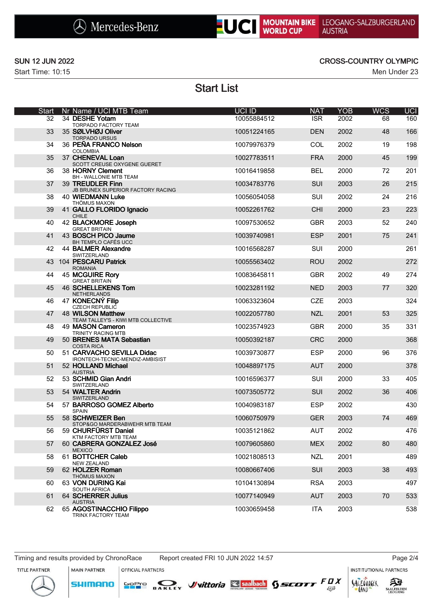



### SUN 12 JUN 2022 CROSS-COUNTRY OLYMPIC

Start List

| <b>Start</b><br>32 | Nr Name / UCI MTB Team<br>34 DESHE Yotam<br>TORPADO FACTORY TEAM | UCI ID<br>10055884512 | <b>NAT</b><br><b>ISR</b> | <b>YOB</b><br>2002 | <b>WCS</b><br>68 | <b>UCI</b><br>160 |
|--------------------|------------------------------------------------------------------|-----------------------|--------------------------|--------------------|------------------|-------------------|
| 33                 | 35 SØLVHØJ Oliver<br><b>TORPADO URSUS</b>                        | 10051224165           | <b>DEN</b>               | 2002               | 48               | 166               |
| 34                 | 36 PEÑA FRANCO Nelson<br><b>COLOMBIA</b>                         | 10079976379           | <b>COL</b>               | 2002               | 19               | 198               |
| 35                 | 37 CHENEVAL Loan<br>SCOTT CREUSE OXYGENE GUERET                  | 10027783511           | <b>FRA</b>               | 2000               | 45               | 199               |
| 36                 | 38 HORNY Clement<br>BH - WALLONIE MTB TEAM                       | 10016419858           | <b>BEL</b>               | 2000               | 72               | 201               |
| 37                 | 39 TREUDLER Finn<br>JB BRUNEX SUPERIOR FACTORY RACING            | 10034783776           | <b>SUI</b>               | 2003               | 26               | 215               |
| 38                 | 40 WIEDMANN Luke<br>THÖMUS MAXON                                 | 10056054058           | SUI                      | 2002               | 24               | 216               |
| 39                 | 41 GALLO FLORIDO Ignacio<br><b>CHILE</b>                         | 10052261762           | <b>CHI</b>               | 2000               | 23               | 223               |
| 40                 | 42 BLACKMORE Joseph<br><b>GREAT BRITAIN</b>                      | 10097530652           | <b>GBR</b>               | 2003               | 52               | 240               |
| 41                 | 43 BOSCH PICO Jaume<br>BH TEMPLO CAFÉS UCC                       | 10039740981           | <b>ESP</b>               | 2001               | 75               | 241               |
| 42                 | 44 BALMER Alexandre<br>SWITZERLAND                               | 10016568287           | <b>SUI</b>               | 2000               |                  | 261               |
|                    | 43 104 PESCARU Patrick<br><b>ROMANIA</b>                         | 10055563402           | <b>ROU</b>               | 2002               |                  | 272               |
| 44                 | 45 MCGUIRE Rory<br><b>GREAT BRITAIN</b>                          | 10083645811           | <b>GBR</b>               | 2002               | 49               | 274               |
| 45                 | 46 SCHELLEKENS Tom<br><b>NETHERLANDS</b>                         | 10023281192           | <b>NED</b>               | 2003               | 77               | 320               |
| 46                 | 47 KONECNÝ Filip<br><b>CZECH REPUBLIC</b>                        | 10063323604           | <b>CZE</b>               | 2003               |                  | 324               |
| 47                 | 48 WILSON Matthew<br>TEAM TALLEY'S - KIWI MTB COLLECTIVE         | 10022057780           | <b>NZL</b>               | 2001               | 53               | 325               |
| 48                 | 49 MASON Cameron<br>TRINITY RACING MTB                           | 10023574923           | <b>GBR</b>               | 2000               | 35               | 331               |
| 49                 | 50 BRENES MATA Sebastian<br><b>COSTA RICA</b>                    | 10050392187           | <b>CRC</b>               | 2000               |                  | 368               |
| 50                 | 51 CARVACHO SEVILLA Didac<br>IRONTECH-TECNIC-MENDIZ-AMBISIST     | 10039730877           | <b>ESP</b>               | 2000               | 96               | 376               |
| 51                 | 52 HOLLAND Michael<br><b>AUSTRIA</b>                             | 10048897175           | <b>AUT</b>               | 2000               |                  | 378               |
| 52                 | 53 SCHMID Gian Andri<br>SWITZERLAND                              | 10016596377           | <b>SUI</b>               | 2000               | 33               | 405               |
| 53                 | 54 WALTER Andrin<br>SWITZERLAND                                  | 10073505772           | <b>SUI</b>               | 2002               | 36               | 406               |
| 54                 | 57 BARROSO GOMEZ Alberto<br><b>SPAIN</b>                         | 10040983187           | <b>ESP</b>               | 2002               |                  | 430               |
| 55                 | 58 SCHWEIZER Ben<br>STOP&GO MARDERABWEHR MTB TEAM                | 10060750979           | <b>GER</b>               | 2003               | 74               | 469               |
| 56                 | 59 CHURFÜRST Daniel<br>KTM FACTORY MTB TEAM                      | 10035121862           | AUT                      | 2002               |                  | 476               |
| 57                 | 60 CABRERA GONZALEZ José<br><b>MEXICO</b>                        | 10079605860           | <b>MEX</b>               | 2002               | 80               | 480               |
| 58                 | 61 BOTTCHER Caleb<br><b>NEW ZEALAND</b>                          | 10021808513           | <b>NZL</b>               | 2001               |                  | 489               |
| 59                 | 62 HOLZER Roman<br>THÖMUS MAXON                                  | 10080667406           | <b>SUI</b>               | 2003               | 38               | 493               |
| 60                 | 63 VON DURING Kai<br>SOUTH AFRICA                                | 10104130894           | <b>RSA</b>               | 2003               |                  | 497               |
| 61                 | 64 SCHERRER Julius<br><b>AUSTRIA</b>                             | 10077140949           | <b>AUT</b>               | 2003               | 70               | 533               |
| 62                 | 65 AGOSTINACCHIO Filippo<br>TRINX FACTORY TEAM                   | 10030659458           | <b>ITA</b>               | 2003               |                  | 538               |

Timing and results provided by ChronoRace Report created FRI 10 JUN 2022 14:57 Page 2/4

**MAIN PARTNER** 

**SHIMANO** 

**INSTITUTIONAL PARTNERS** 

LAND





OFFICIAL PARTNERS



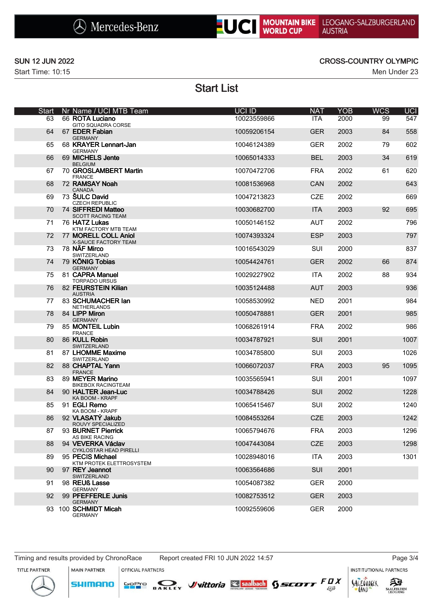



### SUN 12 JUN 2022 CROSS-COUNTRY OLYMPIC

Start List

| <b>Start</b> | Nr Name / UCI MTB Team                             | UCI ID      | <b>NAT</b> | <b>YOB</b> | <b>WCS</b> | <b>UCI</b> |
|--------------|----------------------------------------------------|-------------|------------|------------|------------|------------|
| 63           | 66 ROTA Luciano<br>GITO SQUADRA CORSE              | 10023559866 | <b>ITA</b> | 2000       | 99         | 547        |
| 64           | 67 EDER Fabian<br><b>GERMANY</b>                   | 10059206154 | <b>GER</b> | 2003       | 84         | 558        |
| 65           | 68 KRAYER Lennart-Jan<br><b>GERMANY</b>            | 10046124389 | <b>GER</b> | 2002       | 79         | 602        |
| 66           | 69 MICHELS Jente<br><b>BELGIUM</b>                 | 10065014333 | <b>BEL</b> | 2003       | 34         | 619        |
| 67           | 70 GROSLAMBERT Martin<br><b>FRANCE</b>             | 10070472706 | <b>FRA</b> | 2002       | 61         | 620        |
| 68           | 72 RAMSAY Noah<br><b>CANADA</b>                    | 10081536968 | CAN        | 2002       |            | 643        |
| 69           | 73 SULC David<br><b>CZECH REPUBLIC</b>             | 10047213823 | <b>CZE</b> | 2002       |            | 669        |
| 70           | 74 SIFFREDI Matteo<br><b>SCOTT RACING TEAM</b>     | 10030682700 | <b>ITA</b> | 2003       | 92         | 695        |
| 71           | 76 HATZ Lukas                                      | 10050146152 | AUT.       | 2002       |            | 796        |
| 72           | KTM FACTORY MTB TEAM<br>77 MORELL COLL Aniol       | 10074393324 | <b>ESP</b> | 2003       |            | 797        |
| 73           | X-SAUCE FACTORY TEAM<br>78 NÄF Mirco               | 10016543029 | <b>SUI</b> | 2000       |            | 837        |
| 74           | SWITZERLAND<br>79 KÖNIG Tobias                     | 10054424761 | <b>GER</b> | 2002       | 66         | 874        |
| 75           | <b>GERMANY</b><br>81 CAPRA Manuel                  | 10029227902 | <b>ITA</b> | 2002       | 88         | 934        |
| 76           | <b>TORPADO URSUS</b><br>82 FEURSTEIN Kilian        | 10035124488 | <b>AUT</b> | 2003       |            | 936        |
| 77           | <b>AUSTRIA</b><br>83 SCHUMACHER Ian                | 10058530992 | <b>NED</b> | 2001       |            | 984        |
| 78           | <b>NETHERLANDS</b><br>84 LIPP Miron                | 10050478881 | <b>GER</b> | 2001       |            | 985        |
| 79           | <b>GERMANY</b><br>85 MONTEIL Lubin                 | 10068261914 | <b>FRA</b> | 2002       |            | 986        |
| 80           | <b>FRANCE</b><br>86 KULL Robin                     | 10034787921 | <b>SUI</b> | 2001       |            | 1007       |
| 81           | SWITZERLAND<br>87 LHOMME Maxime                    | 10034785800 | SUI        | 2003       |            | 1026       |
| 82           | SWITZERLAND<br>88 CHAPTAL Yann                     | 10066072037 | <b>FRA</b> | 2003       | 95         | 1095       |
| 83           | <b>FRANCE</b><br>89 MEYER Marino                   | 10035565941 | SUI        | 2001       |            | 1097       |
| 84           | <b>BIKEBOX RACINGTEAM</b><br>90 HALTER Jean-Luc    | 10034788426 | <b>SUI</b> | 2002       |            | 1228       |
| 85           | KA BOOM - KRAPF<br>91 EGLI Remo                    | 10065415467 | SUI        | 2002       |            | 1240       |
| 86           | KA BOOM - KRAPF<br>92 VLASATÝ Jakub                | 10084553264 | CZE        | 2003       |            | 1242       |
| 87           | ROUVY SPECIALIZED<br>93 BURNET Pierrick            |             | <b>FRA</b> |            |            |            |
|              | AS BIKE RACING                                     | 10065794676 |            | 2003       |            | 1296       |
| 88           | 94 VEVERKA Václav<br><b>CYKLOSTAR HEAD PIRELLI</b> | 10047443084 | <b>CZE</b> | 2003       |            | 1298       |
| 89           | 95 PECIS Michael<br>KTM PROTEK ELETTROSYSTEM       | 10028948016 | <b>ITA</b> | 2003       |            | 1301       |
| 90           | 97 REY Jeannot<br>SWITZERLAND                      | 10063564686 | <b>SUI</b> | 2001       |            |            |
| 91           | 98 REUß Lasse<br><b>GERMANY</b>                    | 10054087382 | <b>GER</b> | 2000       |            |            |
| 92           | 99 PFEFFERLE Junis<br><b>GERMANY</b>               | 10082753512 | <b>GER</b> | 2003       |            |            |
|              | 93 100 SCHMIDT Micah<br><b>GERMANY</b>             | 10092559606 | <b>GER</b> | 2000       |            |            |

Timing and results provided by ChronoRace Report created FRI 10 JUN 2022 14:57 Page 3/4

SHIMANO

**MAIN PARTNER** OFFICIAL PARTNERS

SOPIO DAKLEY Vittoria & saabach SSCOTT FUX

**INSTITUTIONAL PARTNERS** 





 $53$